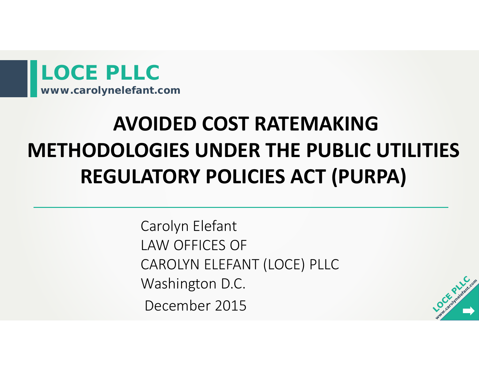

# **AVOIDED COST RATEMAKINGMETHODOLOGIES UNDER THE PUBLIC UTILITIES REGULATORY POLICIES ACT (PURPA)**

Carolyn Elefant LAW OFFICES OF CAROLYN ELEFANT (LOCE) PLLC Washington D.C. December 2015

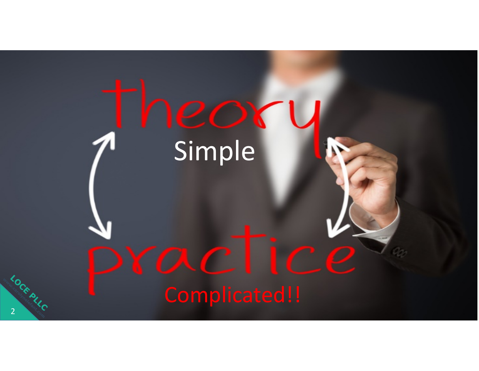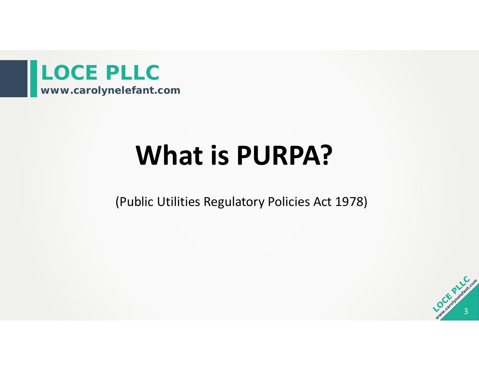

# **What is PURPA?**

(Public Utilities Regulatory Policies Act 1978)

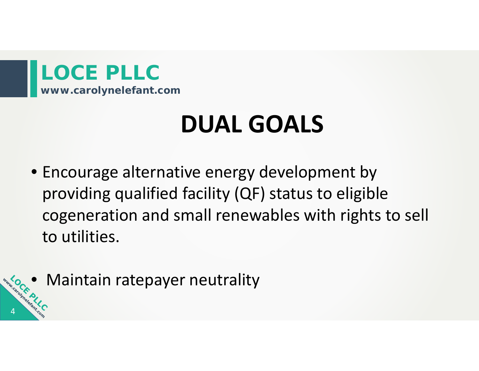

# **DUAL GOALS**

- Encourage alternative energy development by providing qualified facility (QF) status to eligible cogeneration and small renewables with rights to sell to utilities.
- Maintain ratepayer neutrality

4

www.coroun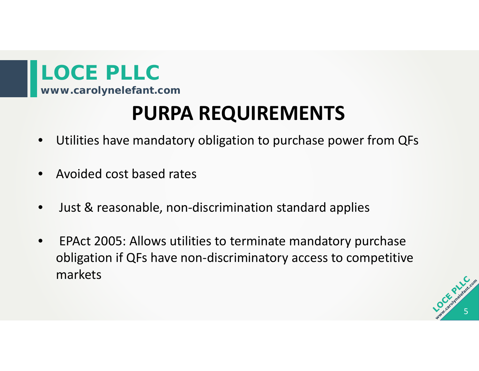**www.carolynelefant.com**

### **PURPA REQUIREMENTS**

- •Utilities have mandatory obligation to purchase power from QFs
- •**•** Avoided cost based rates
- •Just & reasonable, non‐discrimination standard applies
- $\bullet$  EPAct 2005: Allows utilities to terminate mandatory purchase obligation if QFs have non‐discriminatory access to competitive markets

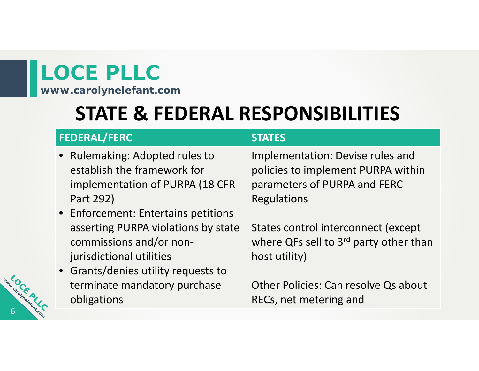**www.carolynelefant.com**

### **STATE & FEDERAL RESPONSIBILITIES**

| <b>FEDERAL/FERC</b>                                                                                                                                  | <b>STATES</b>                                                                                                                |
|------------------------------------------------------------------------------------------------------------------------------------------------------|------------------------------------------------------------------------------------------------------------------------------|
| • Rulemaking: Adopted rules to<br>establish the framework for<br>implementation of PURPA (18 CFR<br>Part 292)<br>• Enforcement: Entertains petitions | Implementation: Devise rules and<br>policies to implement PURPA within<br>parameters of PURPA and FERC<br><b>Regulations</b> |
| asserting PURPA violations by state<br>commissions and/or non-<br>jurisdictional utilities<br>• Grants/denies utility requests to                    | States control interconnect (except<br>where QFs sell to 3rd party other than<br>host utility)                               |
| terminate mandatory purchase<br>obligations                                                                                                          | Other Policies: Can resolve Qs about<br>RECs, net metering and                                                               |

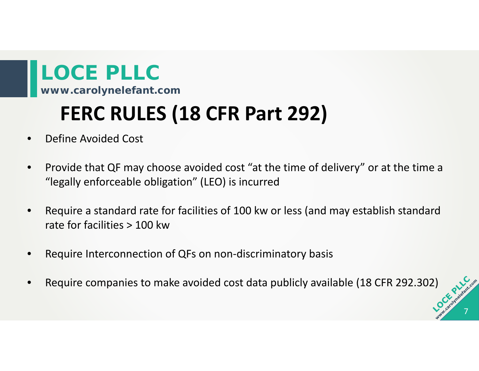### **FERC RULES (18 CFR Part 292)**

- •Define Avoided Cost
- $\bullet$  Provide that QF may choose avoided cost "at the time of delivery" or at the time <sup>a</sup> "legally enforceable obligation" (LEO) is incurred
- $\bullet$  Require <sup>a</sup> standard rate for facilities of 100 kw or less (and may establish standard rate for facilities <sup>&</sup>gt; 100 kw
- •Require Interconnection of QFs on non-discriminatory basis
- •Require companies to make avoided cost data publicly available (18 CFR 292.302)

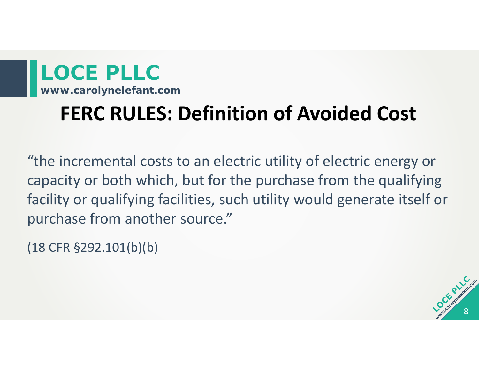### **FERC RULES: Definition of Avoided Cost**

"the incremental costs to an electric utility of electric energy or capacity or both which, but for the purchase from the qualifying facility or qualifying facilities, such utility would generate itself or purchase from another source."

(18 CFR §292.101(b)(b)

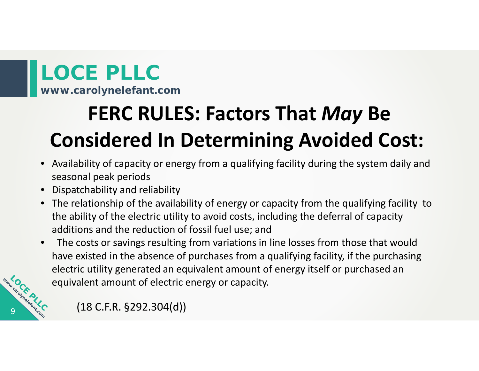**www.carolynelefant.com**

# **FERC RULES: Factors That** *May* **Be Considered In Determining Avoided Cost:**

- Availability of capacity or energy from <sup>a</sup> qualifying facility during the system daily and seasonal peak periods
- •Dispatchability and reliability
- The relationship of the availability of energy or capacity from the qualifying facility to the ability of the electric utility to avoid costs, including the deferral of capacity additions and the reduction of fossil fuel use; and
- $\bullet$  The costs or savings resulting from variations in line losses from those that would have existed in the absence of purchases from <sup>a</sup> qualifying facility, if the purchasing electric utility generated an equivalent amount of energy itself or purchased an equivalent amount of electric energy or capacity.



(18 C.F.R. §292.304(d))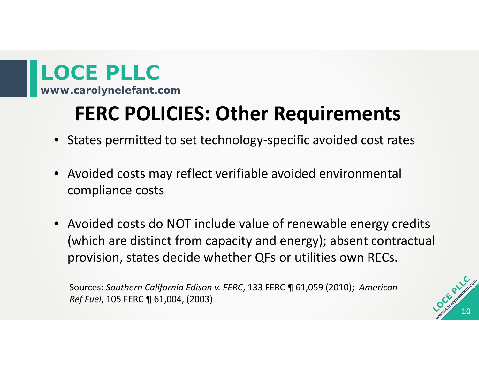### **FERC POLICIES: Other Requirements**

- States permitted to set technology‐specific avoided cost rates
- Avoided costs may reflect verifiable avoided environmental compliance costs
- Avoided costs do NOT include value of renewable energy credits (which are distinct from capacity and energy); absent contractual provision, states decide whether QFs or utilities own RECs.

Sources: *Southern California Edison v. FERC*, 133 FERC ¶ 61,059 (2010); *American Ref Fuel*, 105 FERC ¶ 61,004, (2003)

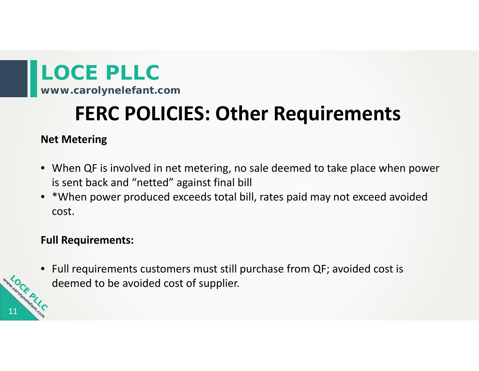**www.carolynelefant.com**

### **FERC POLICIES: Other Requirements**

#### **Net Metering**

- When QF is involved in net metering, no sale deemed to take place when power is sent back and "netted" against final bill
- \*When power produced exceeds total bill, rates paid may not exceed avoided cost.

#### **Full Requirements:**

11

• Full requirements customers must still purchase from QF; avoided cost is deemed to be avoided cost of supplier.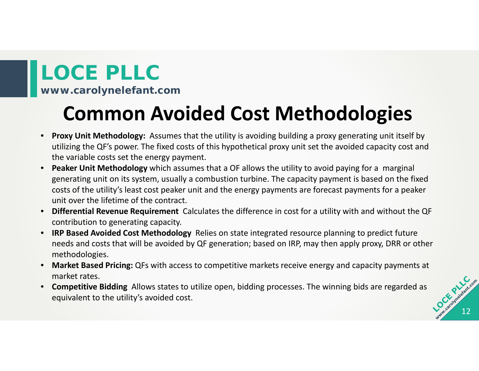**www.carolynelefant.com**

### **Common Avoided Cost Methodologies**

- $\bullet$  **Proxy Unit Methodology:** Assumes that the utility is avoiding building <sup>a</sup> proxy generating unit itself by utilizing the QF's power. The fixed costs of this hypothetical proxy unit set the avoided capacity cost and the variable costs set the energy payment.
- $\bullet$  **Peaker Unit Methodology** which assumes that <sup>a</sup> OF allows the utility to avoid paying for <sup>a</sup> marginal generating unit on its system, usually <sup>a</sup> combustion turbine. The capacity payment is based on the fixed costs of the utility's least cost peaker unit and the energy payments are forecast payments for <sup>a</sup> peaker unit over the lifetime of the contract.
- **Differential Revenue Requirement** Calculates the difference in cost for <sup>a</sup> utility with and without the QF contribution to generating capacity.
- **IRP Based Avoided Cost Methodology** Relies on state integrated resource planning to predict future needs and costs that will be avoided by QF generation; based on IRP, may then apply proxy, DRR or other methodologies.
- $\bullet$  **Market Based Pricing:** QFs with access to competitive markets receive energy and capacity payments at market rates.
- $\bullet$  **Competitive Bidding** Allows states to utilize open, bidding processes. The winning bids are regarded as equivalent to the utility's avoided cost.

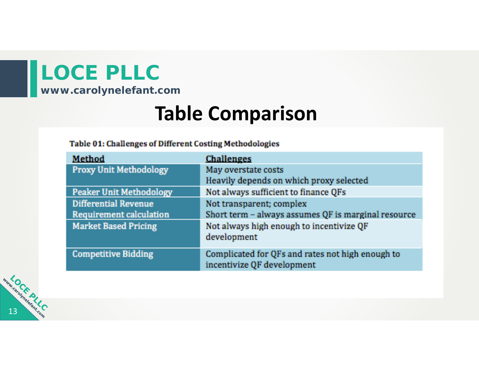**www.carolynelefant.com**

### **Table Comparison**

#### Table 01: Challenges of Different Costing Methodologies

| <b>Challenges</b>                                   |  |
|-----------------------------------------------------|--|
| May overstate costs                                 |  |
| Heavily depends on which proxy selected             |  |
| Not always sufficient to finance QFs                |  |
| Not transparent; complex                            |  |
| Short term - always assumes QF is marginal resource |  |
| Not always high enough to incentivize QF            |  |
| development                                         |  |
| Complicated for QFs and rates not high enough to    |  |
| incentivize QF development                          |  |
|                                                     |  |

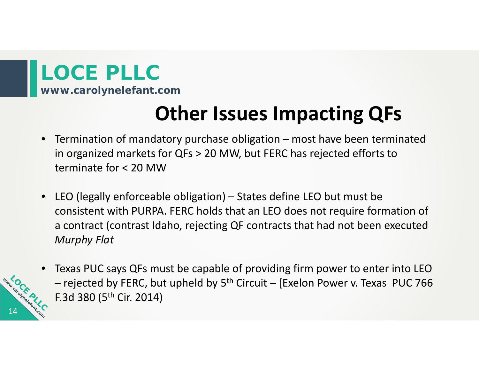**www.carolynelefant.com**

### **Other Issues Impacting QFs**

- $\bullet$  Termination of mandatory purchase obligation – most have been terminated in organized markets for QFs <sup>&</sup>gt; 20 MW, but FERC has rejected efforts to terminate for <sup>&</sup>lt; 20 MW
- LEO (legally enforceable obligation) States define LEO but must be consistent with PURPA. FERC holds that an LEO does not require formation of a contract (contrast Idaho, rejecting QF contracts that had not been executed *Murphy Flat*



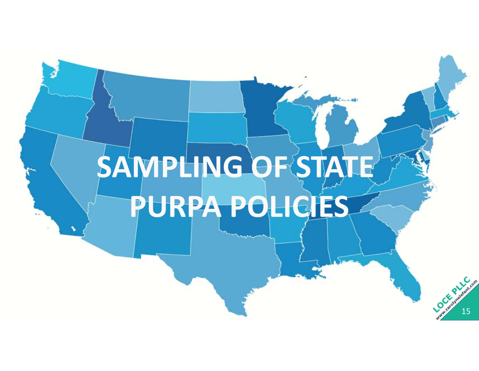# **SAMPLING OF STATE PURPA POLICIES**

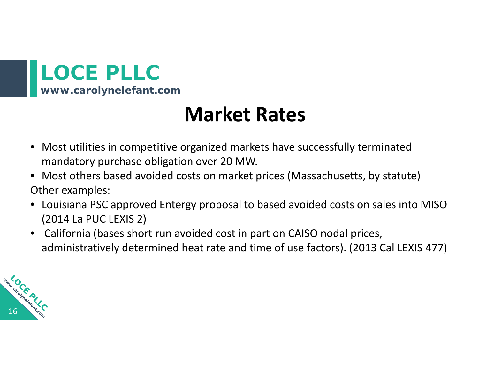

### **Market Rates**

- Most utilities in competitive organized markets have successfully terminated mandatory purchase obligation over 20 MW.
- Most others based avoided costs on market prices (Massachusetts, by statute) Other examples:
- Louisiana PSC approved Entergy proposal to based avoided costs on sales into MISO (2014 La PUC LEXIS 2)
- California (bases short run avoided cost in part on CAISO nodal prices, administratively determined heat rate and time of use factors). (2013 Cal LEXIS 477)

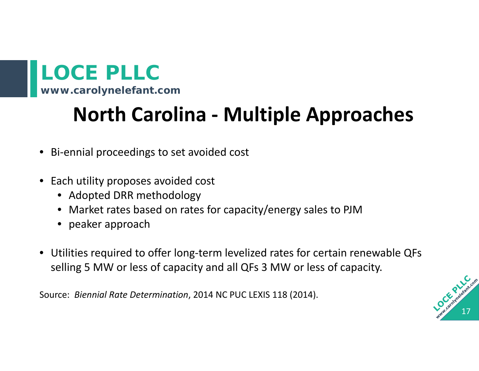### **North Carolina ‐ Multiple Approaches**

- Bi‐ennial proceedings to set avoided cost
- Each utility proposes avoided cost
	- Adopted DRR methodology
	- Market rates based on rates for capacity/energy sales to PJM
	- peaker approach
- Utilities required to offer long‐term levelized rates for certain renewable QFs selling 5 MW or less of capacity and all QFs 3 MW or less of capacity.

Source: *Biennial Rate Determination*, 2014 NC PUC LEXIS 118 (2014).

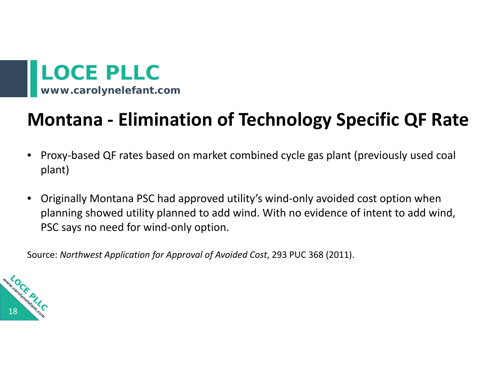### **Montana ‐ Elimination of Technology Specific QF Rate**

- $\bullet$  Proxy‐based QF rates based on market combined cycle gas plant (previously used coal plant)
- $\bullet$  Originally Montana PSC had approved utility's wind‐only avoided cost option when planning showed utility planned to add wind. With no evidence of intent to add wind, PSC says no need for wind‐only option.

Source: *Northwest Application for Approval of Avoided Cost*, 293 PUC 368 (2011).

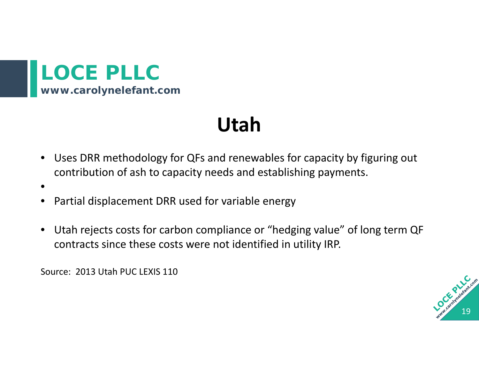

### **Utah**

- $\bullet$  Uses DRR methodology for QFs and renewables for capacity by figuring out contribution of ash to capacity needs and establishing payments.
- •
- •Partial displacement DRR used for variable energy
- • Utah rejects costs for carbon compliance or "hedging value" of long term QF contracts since these costs were not identified in utility IRP.

Source: 2013 Utah PUC LEXIS 110

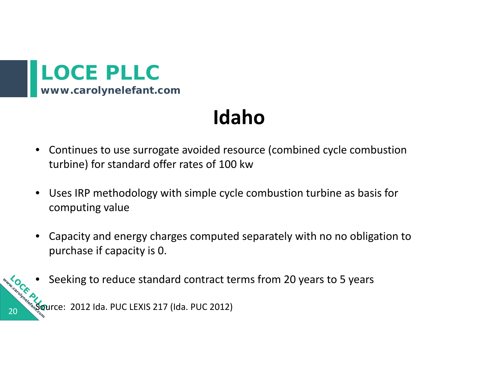

20

### **Idaho**

- $\bullet$  Continues to use surrogate avoided resource (combined cycle combustion turbine) for standard offer rates of 100 kw
- $\bullet$  Uses IRP methodology with simple cycle combustion turbine as basis for computing value
- $\bullet$  Capacity and energy charges computed separately with no no obligation to purchase if capacity is 0.
- www.carchi Seeking to reduce standard contract terms from 20 years to 5 years • $\,$ Source: 2012 Ida. PUC LEXIS 217 (Ida. PUC 2012)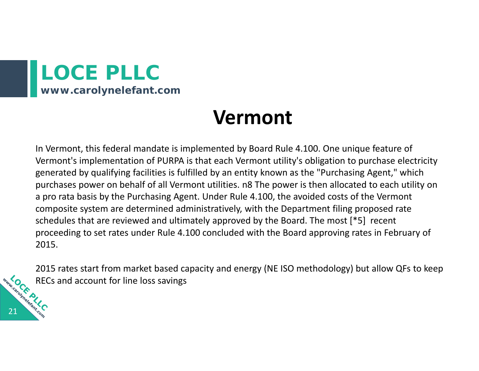

21

### **Vermont**

In Vermont, this federal mandate is implemented by Board Rule 4.100. One unique feature of Vermont's implementation of PURPA is that each Vermont utility's obligation to purchase electricity generated by qualifying facilities is fulfilled by an entity known as the "Purchasing Agent," which purchases power on behalf of all Vermont utilities. n8 The power is then allocated to each utility on a pro rata basis by the Purchasing Agent. Under Rule 4.100, the avoided costs of the Vermont composite system are determined administratively, with the Department filing proposed rate schedules that are reviewed and ultimately approved by the Board. The most [\*5] recent proceeding to set rates under Rule 4.100 concluded with the Board approving rates in February of 2015.

2015 rates start from market based capacity and energy (NE ISO methodology) but allow QFs to keep www.carouner.p RECs and account for line loss savings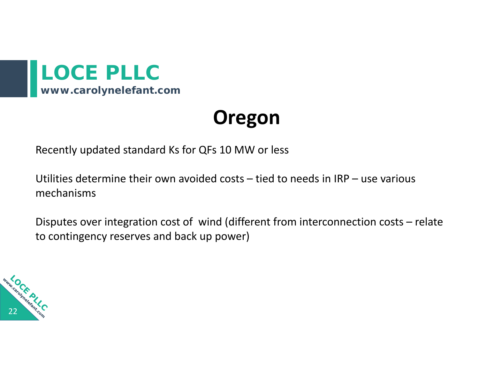

### **Oregon**

Recently updated standard Ks for QFs 10 MW or less

Utilities determine their own avoided costs – tied to needs in IRP – use various mechanisms

Disputes over integration cost of wind (different from interconnection costs – relate to contingency reserves and back up power)

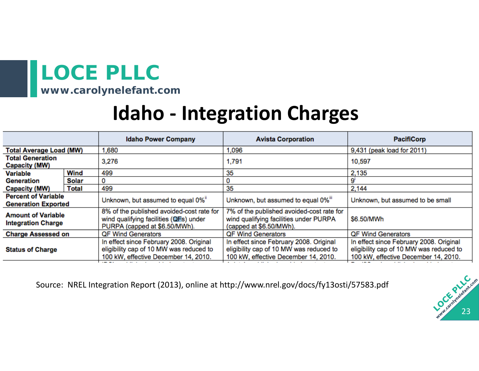**www.carolynelefant.com**

### **Idaho ‐ Integration Charges**

|                                                          |       | <b>Idaho Power Company</b>                                                                                                 | <b>Avista Corporation</b>                                                                                                  | <b>PacifiCorp</b>                                                                                                          |
|----------------------------------------------------------|-------|----------------------------------------------------------------------------------------------------------------------------|----------------------------------------------------------------------------------------------------------------------------|----------------------------------------------------------------------------------------------------------------------------|
| <b>Total Average Load (MW)</b>                           |       | 1,680                                                                                                                      | 1,096                                                                                                                      | 9,431 (peak load for 2011)                                                                                                 |
| <b>Total Generation</b><br>Capacity (MW)                 |       | 3,276                                                                                                                      | 1,791                                                                                                                      | 10,597                                                                                                                     |
| <b>Variable</b>                                          | Wind  | 499                                                                                                                        | 35                                                                                                                         | 2,135                                                                                                                      |
| Generation                                               | Solar | 0                                                                                                                          |                                                                                                                            |                                                                                                                            |
| Capacity (MW)                                            | Total | 499                                                                                                                        | 35                                                                                                                         | 2,144                                                                                                                      |
| <b>Percent of Variable</b><br><b>Generation Exported</b> |       | Unknown, but assumed to equal 0%"                                                                                          | Unknown, but assumed to equal 0%"                                                                                          | Unknown, but assumed to be small                                                                                           |
| <b>Amount of Variable</b><br><b>Integration Charge</b>   |       | 8% of the published avoided-cost rate for<br>wind qualifying facilities (QFs) under<br>PURPA (capped at \$6.50/MWh).       | 7% of the published avoided-cost rate for<br>wind qualifying facilities under PURPA<br>(capped at \$6.50/MWh).             | \$6.50/MWh                                                                                                                 |
| <b>Charge Assessed on</b>                                |       | <b>QF Wind Generators</b>                                                                                                  | <b>QF Wind Generators</b>                                                                                                  | <b>QF Wind Generators</b>                                                                                                  |
| <b>Status of Charge</b>                                  |       | In effect since February 2008. Original<br>eligibility cap of 10 MW was reduced to<br>100 kW, effective December 14, 2010. | In effect since February 2008. Original<br>eligibility cap of 10 MW was reduced to<br>100 kW, effective December 14, 2010. | In effect since February 2008. Original<br>eligibility cap of 10 MW was reduced to<br>100 kW, effective December 14, 2010. |

Source: NREL Integration Report (2013), online at http://www.nrel.gov/docs/fy13osti/57583.pdf

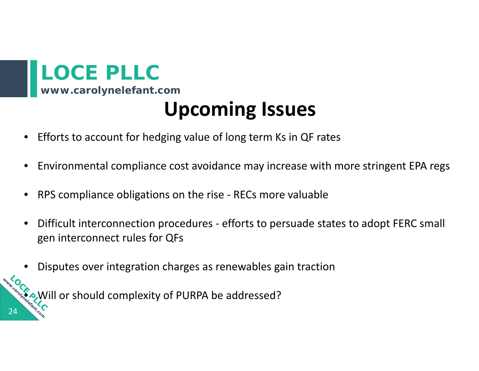

24

www.oc

•

### **Upcoming Issues**

- •• Efforts to account for hedging value of long term Ks in QF rates
- •Environmental compliance cost avoidance may increase with more stringent EPA regs
- •● RPS compliance obligations on the rise - RECs more valuable
- • Difficult interconnection procedures ‐ efforts to persuade states to adopt FERC small gen interconnect rules for QFs
- •Disputes over integration charges as renewables gain traction

Will or should complexity of PURPA be addressed?